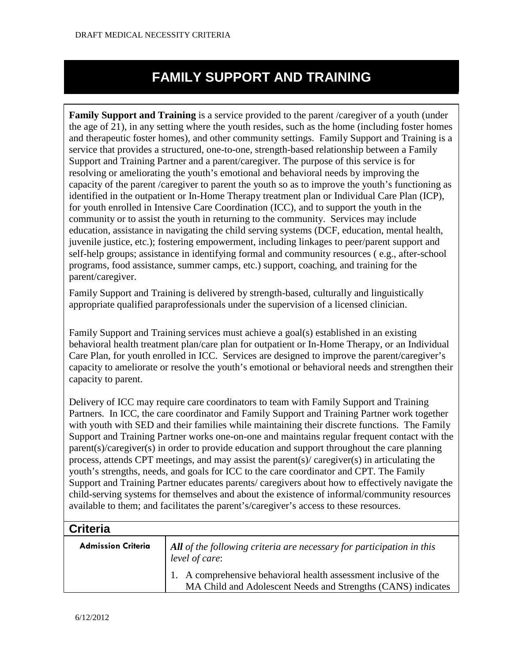## **FAMILY SUPPORT AND TRAINING**

**Family Support and Training** is a service provided to the parent /caregiver of a youth (under the age of 21), in any setting where the youth resides, such as the home (including foster homes and therapeutic foster homes), and other community settings. Family Support and Training is a service that provides a structured, one-to-one, strength-based relationship between a Family Support and Training Partner and a parent/caregiver. The purpose of this service is for resolving or ameliorating the youth's emotional and behavioral needs by improving the capacity of the parent /caregiver to parent the youth so as to improve the youth's functioning as identified in the outpatient or In-Home Therapy treatment plan or Individual Care Plan (ICP), for youth enrolled in Intensive Care Coordination (ICC), and to support the youth in the community or to assist the youth in returning to the community. Services may include education, assistance in navigating the child serving systems (DCF, education, mental health, juvenile justice, etc.); fostering empowerment, including linkages to peer/parent support and self-help groups; assistance in identifying formal and community resources ( e.g., after-school programs, food assistance, summer camps, etc.) support, coaching, and training for the parent/caregiver.

Family Support and Training is delivered by strength-based, culturally and linguistically appropriate qualified paraprofessionals under the supervision of a licensed clinician.

Family Support and Training services must achieve a goal(s) established in an existing behavioral health treatment plan/care plan for outpatient or In-Home Therapy, or an Individual Care Plan, for youth enrolled in ICC. Services are designed to improve the parent/caregiver's capacity to ameliorate or resolve the youth's emotional or behavioral needs and strengthen their capacity to parent.

Delivery of ICC may require care coordinators to team with Family Support and Training Partners. In ICC, the care coordinator and Family Support and Training Partner work together with youth with SED and their families while maintaining their discrete functions. The Family Support and Training Partner works one-on-one and maintains regular frequent contact with the parent(s)/caregiver(s) in order to provide education and support throughout the care planning process, attends CPT meetings, and may assist the parent(s)/ caregiver(s) in articulating the youth's strengths, needs, and goals for ICC to the care coordinator and CPT. The Family Support and Training Partner educates parents/ caregivers about how to effectively navigate the child-serving systems for themselves and about the existence of informal/community resources available to them; and facilitates the parent's/caregiver's access to these resources.

## **Criteria**

| <b>Admission Criteria</b> | All of the following criteria are necessary for participation in this<br>level of care:                                          |  |
|---------------------------|----------------------------------------------------------------------------------------------------------------------------------|--|
|                           | 1. A comprehensive behavioral health assessment inclusive of the<br>MA Child and Adolescent Needs and Strengths (CANS) indicates |  |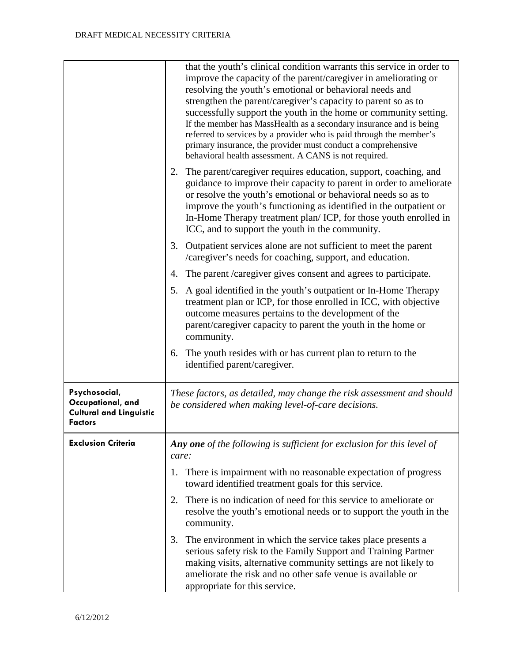|                                                                                        | that the youth's clinical condition warrants this service in order to<br>improve the capacity of the parent/caregiver in ameliorating or<br>resolving the youth's emotional or behavioral needs and<br>strengthen the parent/caregiver's capacity to parent so as to<br>successfully support the youth in the home or community setting.<br>If the member has MassHealth as a secondary insurance and is being<br>referred to services by a provider who is paid through the member's<br>primary insurance, the provider must conduct a comprehensive<br>behavioral health assessment. A CANS is not required. |
|----------------------------------------------------------------------------------------|----------------------------------------------------------------------------------------------------------------------------------------------------------------------------------------------------------------------------------------------------------------------------------------------------------------------------------------------------------------------------------------------------------------------------------------------------------------------------------------------------------------------------------------------------------------------------------------------------------------|
|                                                                                        | 2. The parent/caregiver requires education, support, coaching, and<br>guidance to improve their capacity to parent in order to ameliorate<br>or resolve the youth's emotional or behavioral needs so as to<br>improve the youth's functioning as identified in the outpatient or<br>In-Home Therapy treatment plan/ICP, for those youth enrolled in<br>ICC, and to support the youth in the community.                                                                                                                                                                                                         |
|                                                                                        | Outpatient services alone are not sufficient to meet the parent<br>3.<br>/caregiver's needs for coaching, support, and education.                                                                                                                                                                                                                                                                                                                                                                                                                                                                              |
|                                                                                        | The parent / caregiver gives consent and agrees to participate.<br>4.                                                                                                                                                                                                                                                                                                                                                                                                                                                                                                                                          |
|                                                                                        | A goal identified in the youth's outpatient or In-Home Therapy<br>5.<br>treatment plan or ICP, for those enrolled in ICC, with objective<br>outcome measures pertains to the development of the<br>parent/caregiver capacity to parent the youth in the home or<br>community.                                                                                                                                                                                                                                                                                                                                  |
|                                                                                        | The youth resides with or has current plan to return to the<br>6.<br>identified parent/caregiver.                                                                                                                                                                                                                                                                                                                                                                                                                                                                                                              |
| Psychosocial,<br>Occupational, and<br><b>Cultural and Linguistic</b><br><b>Factors</b> | These factors, as detailed, may change the risk assessment and should<br>be considered when making level-of-care decisions.                                                                                                                                                                                                                                                                                                                                                                                                                                                                                    |
| <b>Exclusion Criteria</b>                                                              | Any one of the following is sufficient for exclusion for this level of<br>care:                                                                                                                                                                                                                                                                                                                                                                                                                                                                                                                                |
|                                                                                        | 1. There is impairment with no reasonable expectation of progress<br>toward identified treatment goals for this service.                                                                                                                                                                                                                                                                                                                                                                                                                                                                                       |
|                                                                                        | There is no indication of need for this service to ameliorate or<br>2.<br>resolve the youth's emotional needs or to support the youth in the<br>community.                                                                                                                                                                                                                                                                                                                                                                                                                                                     |
|                                                                                        | The environment in which the service takes place presents a<br>3.<br>serious safety risk to the Family Support and Training Partner<br>making visits, alternative community settings are not likely to<br>ameliorate the risk and no other safe venue is available or<br>appropriate for this service.                                                                                                                                                                                                                                                                                                         |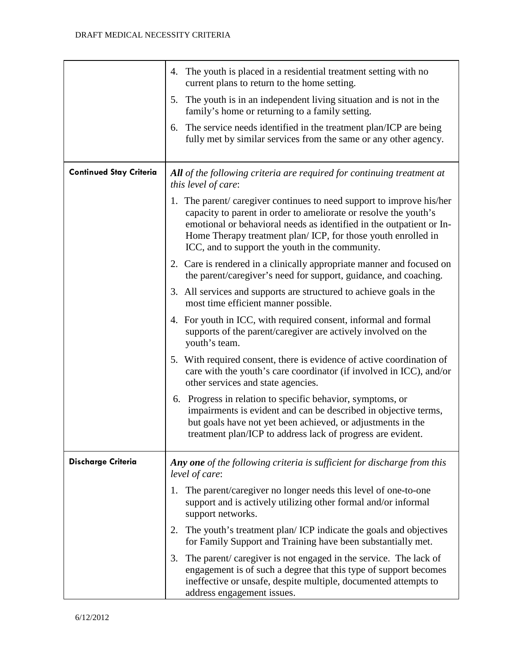|                                | 4. The youth is placed in a residential treatment setting with no<br>current plans to return to the home setting.                                                                                                                                                                                                                   |
|--------------------------------|-------------------------------------------------------------------------------------------------------------------------------------------------------------------------------------------------------------------------------------------------------------------------------------------------------------------------------------|
|                                | 5. The youth is in an independent living situation and is not in the<br>family's home or returning to a family setting.                                                                                                                                                                                                             |
|                                | The service needs identified in the treatment plan/ICP are being<br>6.<br>fully met by similar services from the same or any other agency.                                                                                                                                                                                          |
| <b>Continued Stay Criteria</b> | All of the following criteria are required for continuing treatment at<br>this level of care:                                                                                                                                                                                                                                       |
|                                | 1. The parent/caregiver continues to need support to improve his/her<br>capacity to parent in order to ameliorate or resolve the youth's<br>emotional or behavioral needs as identified in the outpatient or In-<br>Home Therapy treatment plan/ICP, for those youth enrolled in<br>ICC, and to support the youth in the community. |
|                                | 2. Care is rendered in a clinically appropriate manner and focused on<br>the parent/caregiver's need for support, guidance, and coaching.                                                                                                                                                                                           |
|                                | 3. All services and supports are structured to achieve goals in the<br>most time efficient manner possible.                                                                                                                                                                                                                         |
|                                | 4. For youth in ICC, with required consent, informal and formal<br>supports of the parent/caregiver are actively involved on the<br>youth's team.                                                                                                                                                                                   |
|                                | 5. With required consent, there is evidence of active coordination of<br>care with the youth's care coordinator (if involved in ICC), and/or<br>other services and state agencies.                                                                                                                                                  |
|                                | 6. Progress in relation to specific behavior, symptoms, or<br>impairments is evident and can be described in objective terms,<br>but goals have not yet been achieved, or adjustments in the<br>treatment plan/ICP to address lack of progress are evident.                                                                         |
| <b>Discharge Criteria</b>      | Any one of the following criteria is sufficient for discharge from this<br>level of care:                                                                                                                                                                                                                                           |
|                                | The parent/caregiver no longer needs this level of one-to-one<br>1.<br>support and is actively utilizing other formal and/or informal<br>support networks.                                                                                                                                                                          |
|                                | The youth's treatment plan/ICP indicate the goals and objectives<br>2.<br>for Family Support and Training have been substantially met.                                                                                                                                                                                              |
|                                | The parent/caregiver is not engaged in the service. The lack of<br>3.<br>engagement is of such a degree that this type of support becomes<br>ineffective or unsafe, despite multiple, documented attempts to<br>address engagement issues.                                                                                          |